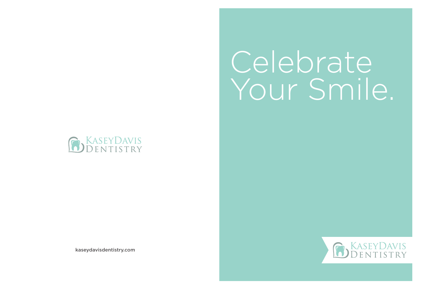# Celebrate Your Smile.



kaseydavisdentistry.com